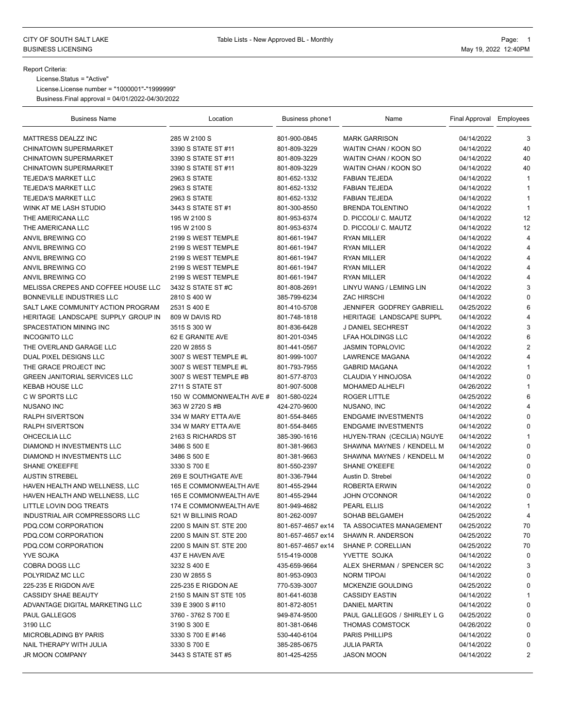## Report Criteria:

License.Status = "Active"

License.License number = "1000001"-"1999999"

Business.Final approval = 04/01/2022-04/30/2022

| <b>Business Name</b>                 | Location                                         | Business phone1   | Name                         | Final Approval Employees |                                |
|--------------------------------------|--------------------------------------------------|-------------------|------------------------------|--------------------------|--------------------------------|
| MATTRESS DEALZZ INC                  | 285 W 2100 S                                     | 801-900-0845      | <b>MARK GARRISON</b>         | 04/14/2022               | 3                              |
| <b>CHINATOWN SUPERMARKET</b>         | 3390 S STATE ST #11                              | 801-809-3229      | WAITIN CHAN / KOON SO        | 04/14/2022               | 40                             |
| <b>CHINATOWN SUPERMARKET</b>         | 3390 S STATE ST #11                              | 801-809-3229      | <b>WAITIN CHAN / KOON SO</b> | 04/14/2022               | 40                             |
| <b>CHINATOWN SUPERMARKET</b>         | 3390 S STATE ST #11                              | 801-809-3229      | <b>WAITIN CHAN / KOON SO</b> | 04/14/2022               | 40                             |
| TEJEDA'S MARKET LLC                  | 2963 S STATE                                     | 801-652-1332      | <b>FABIAN TEJEDA</b>         | 04/14/2022               | 1                              |
| <b>TEJEDA'S MARKET LLC</b>           | 2963 S STATE                                     | 801-652-1332      | <b>FABIAN TEJEDA</b>         | 04/14/2022               | $\mathbf{1}$                   |
| <b>TEJEDA'S MARKET LLC</b>           | 2963 S STATE                                     | 801-652-1332      | <b>FABIAN TEJEDA</b>         | 04/14/2022               | $\mathbf{1}$                   |
| WINK AT ME LASH STUDIO               | 3443 S STATE ST #1                               | 801-300-8550      | <b>BRENDA TOLENTINO</b>      | 04/14/2022               | $\mathbf{1}$                   |
| THE AMERICANA LLC                    | 195 W 2100 S                                     | 801-953-6374      | D. PICCOLI/ C. MAUTZ         | 04/14/2022               | 12                             |
| THE AMERICANA LLC                    | 195 W 2100 S                                     | 801-953-6374      | D. PICCOLI/ C. MAUTZ         | 04/14/2022               | 12                             |
| ANVIL BREWING CO                     | 2199 S WEST TEMPLE                               | 801-661-1947      | <b>RYAN MILLER</b>           | 04/14/2022               | $\overline{4}$                 |
| <b>ANVIL BREWING CO</b>              | 2199 S WEST TEMPLE                               | 801-661-1947      | <b>RYAN MILLER</b>           | 04/14/2022               | $\overline{4}$                 |
| ANVIL BREWING CO                     | 2199 S WEST TEMPLE                               | 801-661-1947      | <b>RYAN MILLER</b>           | 04/14/2022               | 4                              |
| ANVIL BREWING CO                     | 2199 S WEST TEMPLE                               | 801-661-1947      | <b>RYAN MILLER</b>           | 04/14/2022               | $\overline{4}$                 |
| ANVIL BREWING CO                     | 2199 S WEST TEMPLE                               | 801-661-1947      | <b>RYAN MILLER</b>           | 04/14/2022               | $\overline{4}$                 |
| MELISSA CREPES AND COFFEE HOUSE LLC  | 3432 S STATE ST #C                               | 801-808-2691      | LINYU WANG / LEMING LIN      | 04/14/2022               | 3                              |
| BONNEVILLE INDUSTRIES LLC            | 2810 S 400 W                                     | 385-799-6234      | <b>ZAC HIRSCHI</b>           | 04/14/2022               | $\mathbf 0$                    |
| SALT LAKE COMMUNITY ACTION PROGRAM   | 2531 S 400 E                                     | 801-410-5708      | JENNIFER GODFREY GABRIELL    | 04/25/2022               | 6                              |
| HERITAGE LANDSCAPE SUPPLY GROUP IN   | 809 W DAVIS RD                                   | 801-748-1818      | HERITAGE LANDSCAPE SUPPL     | 04/14/2022               | $\overline{4}$                 |
| SPACESTATION MINING INC              | 3515 S 300 W                                     | 801-836-6428      | J DANIEL SECHREST            | 04/14/2022               | 3                              |
| <b>INCOGNITO LLC</b>                 | 62 E GRANITE AVE                                 | 801-201-0345      | <b>LFAA HOLDINGS LLC</b>     | 04/14/2022               | 6                              |
| THE OVERLAND GARAGE LLC              | 220 W 2855 S                                     | 801-441-0567      | <b>JASMIN TOPALOVIC</b>      | 04/14/2022               | $\overline{2}$                 |
| DUAL PIXEL DESIGNS LLC               | 3007 S WEST TEMPLE #L                            | 801-999-1007      | <b>LAWRENCE MAGANA</b>       | 04/14/2022               | 4                              |
| THE GRACE PROJECT INC                | 3007 S WEST TEMPLE #L                            | 801-793-7955      | <b>GABRID MAGANA</b>         | 04/14/2022               | $\mathbf{1}$                   |
| <b>GREEN JANITORIAL SERVICES LLC</b> | 3007 S WEST TEMPLE #B                            | 801-577-8703      | <b>CLAUDIA Y HINOJOSA</b>    | 04/14/2022               | $\Omega$                       |
| <b>KEBAB HOUSE LLC</b>               | 2711 S STATE ST                                  | 801-907-5008      | <b>MOHAMED ALHELFI</b>       | 04/26/2022               | $\mathbf{1}$                   |
| C W SPORTS LLC                       | 150 W COMMONWEALTH AVE #                         | 801-580-0224      | <b>ROGER LITTLE</b>          | 04/25/2022               | 6                              |
| <b>NUSANO INC</b>                    | 363 W 2720 S #B                                  | 424-270-9600      | NUSANO, INC                  | 04/14/2022               | $\overline{4}$                 |
| <b>RALPH SIVERTSON</b>               | 334 W MARY ETTA AVE                              | 801-554-8465      | <b>ENDGAME INVESTMENTS</b>   | 04/14/2022               | $\Omega$                       |
| RALPH SIVERTSON                      | 334 W MARY ETTA AVE                              | 801-554-8465      | ENDGAME INVESTMENTS          | 04/14/2022               | $\Omega$                       |
| OHCECILIA LLC                        | 2163 S RICHARDS ST                               | 385-390-1616      | HUYEN-TRAN (CECILIA) NGUYE   | 04/14/2022               | 1                              |
| DIAMOND H INVESTMENTS LLC            | 3486 S 500 E                                     | 801-381-9663      | SHAWNA MAYNES / KENDELL M    | 04/14/2022               | $\mathbf 0$                    |
| DIAMOND H INVESTMENTS LLC            | 3486 S 500 E                                     | 801-381-9663      | SHAWNA MAYNES / KENDELL M    | 04/14/2022               | $\mathbf 0$                    |
| <b>SHANE O'KEEFFE</b>                | 3330 S 700 E                                     | 801-550-2397      | <b>SHANE O'KEEFE</b>         | 04/14/2022               | $\Omega$                       |
| <b>AUSTIN STREBEL</b>                | 269 E SOUTHGATE AVE                              | 801-336-7944      | Austin D. Strebel            | 04/14/2022               | $\Omega$                       |
| HAVEN HEALTH AND WELLNESS, LLC       | 165 E COMMONWEALTH AVE                           | 801-455-2944      | ROBERTA ERWIN                | 04/14/2022               | $\Omega$                       |
|                                      |                                                  | 801-455-2944      | <b>JOHN O'CONNOR</b>         |                          | $\mathbf 0$                    |
| HAVEN HEALTH AND WELLNESS, LLC       | 165 E COMMONWEALTH AVE<br>174 E COMMONWEALTH AVE |                   |                              | 04/14/2022               |                                |
| LITTLE LOVIN DOG TREATS              |                                                  | 801-949-4682      | PEARL ELLIS                  | 04/14/2022<br>04/25/2022 | $\mathbf{1}$<br>$\overline{4}$ |
| INDUSTRIAL AIR COMPRESSORS LLC       | 521 W BILLINIS ROAD                              | 801-262-0097      | SOHAB BELGAMEH               |                          |                                |
| PDQ.COM CORPORATION                  | 2200 S MAIN ST. STE 200                          | 801-657-4657 ex14 | TA ASSOCIATES MANAGEMENT     | 04/25/2022               | 70                             |
| PDQ.COM CORPORATION                  | 2200 S MAIN ST. STE 200                          | 801-657-4657 ex14 | SHAWN R. ANDERSON            | 04/25/2022               | 70                             |
| PDQ.COM CORPORATION                  | 2200 S MAIN ST. STE 200                          | 801-657-4657 ex14 | SHANE P. CORELLIAN           | 04/25/2022               | 70                             |
| YVE SOJKA                            | 437 E HAVEN AVE                                  | 515-419-0008      | YVETTE SOJKA                 | 04/14/2022               | 0                              |
| COBRA DOGS LLC                       | 3232 S 400 E                                     | 435-659-9664      | ALEX SHERMAN / SPENCER SC    | 04/14/2022               | 3                              |
| POLYRIDAZ MC LLC                     | 230 W 2855 S                                     | 801-953-0903      | <b>NORM TIPOAI</b>           | 04/14/2022               | 0                              |
| 225-235 E RIGDON AVE                 | 225-235 E RIGDON AE                              | 770-539-3007      | MCKENZIE GOULDING            | 04/25/2022               | 0                              |
| <b>CASSIDY SHAE BEAUTY</b>           | 2150 S MAIN ST STE 105                           | 801-641-6038      | <b>CASSIDY EASTIN</b>        | 04/14/2022               | 1                              |
| ADVANTAGE DIGITAL MARKETING LLC      | 339 E 3900 S #110                                | 801-872-8051      | DANIEL MARTIN                | 04/14/2022               | 0                              |
| <b>PAUL GALLEGOS</b>                 | 3760 - 3762 S 700 E                              | 949-874-9500      | PAUL GALLEGOS / SHIRLEY L G  | 04/25/2022               | 0                              |
| 3190 LLC                             | 3190 S 300 E                                     | 801-381-0646      | <b>THOMAS COMSTOCK</b>       | 04/26/2022               | 0                              |
| <b>MICROBLADING BY PARIS</b>         | 3330 S 700 E #146                                | 530-440-6104      | PARIS PHILLIPS               | 04/14/2022               | 0                              |
| NAIL THERAPY WITH JULIA              | 3330 S 700 E                                     | 385-285-0675      | <b>JULIA PARTA</b>           | 04/14/2022               | 0                              |
| <b>JR MOON COMPANY</b>               | 3443 S STATE ST #5                               | 801-425-4255      | <b>JASON MOON</b>            | 04/14/2022               | 2                              |